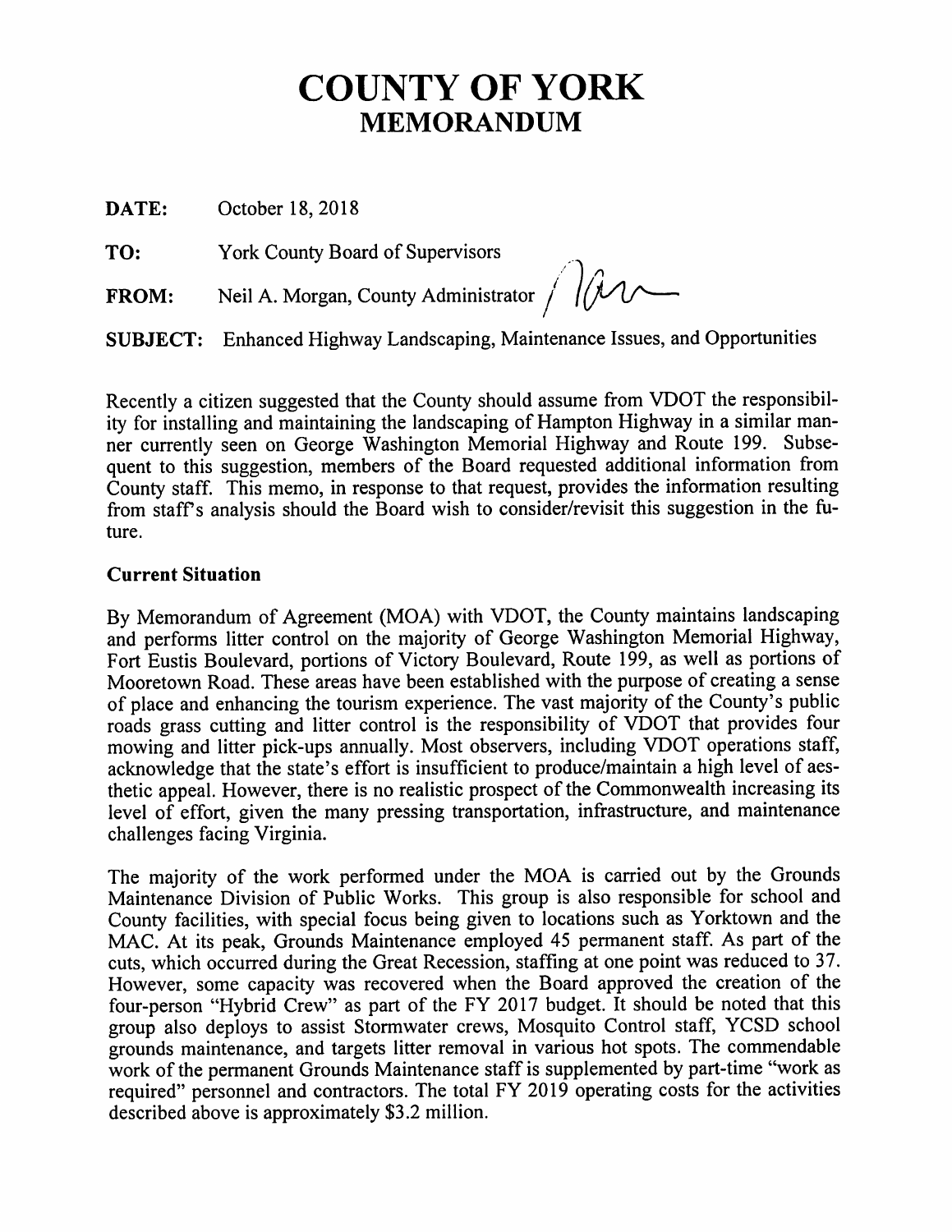# **COUNTY OF YORK MEMORANDUM**

DATE: October 18, 2018

York County Board of Supervisors TO:

Neil A. Morgan, County Administrator  $\bigcap_{\mathcal{U}}$ **FROM:** 

**SUBJECT:** Enhanced Highway Landscaping, Maintenance Issues, and Opportunities

Recently a citizen suggested that the County should assume from VDOT the responsibility for installing and maintaining the landscaping of Hampton Highway in a similar manner currently seen on George Washington Memorial Highway and Route 199. Subsequent to this suggestion, members of the Board requested additional information from County staff. This memo, in response to that request, provides the information resulting from staff's analysis should the Board wish to consider/revisit this suggestion in the future.

## **Current Situation**

By Memorandum of Agreement (MOA) with VDOT, the County maintains landscaping and performs litter control on the majority of George Washington Memorial Highway, Fort Eustis Boulevard, portions of Victory Boulevard, Route 199, as well as portions of Mooretown Road. These areas have been established with the purpose of creating a sense of place and enhancing the tourism experience. The vast majority of the County's public roads grass cutting and litter control is the responsibility of VDOT that provides four mowing and litter pick-ups annually. Most observers, including VDOT operations staff, acknowledge that the state's effort is insufficient to produce/maintain a high level of aesthetic appeal. However, there is no realistic prospect of the Commonwealth increasing its level of effort, given the many pressing transportation, infrastructure, and maintenance challenges facing Virginia.

The majority of the work performed under the MOA is carried out by the Grounds Maintenance Division of Public Works. This group is also responsible for school and County facilities, with special focus being given to locations such as Yorktown and the MAC. At its peak, Grounds Maintenance employed 45 permanent staff. As part of the cuts, which occurred during the Great Recession, staffing at one point was reduced to 37. However, some capacity was recovered when the Board approved the creation of the four-person "Hybrid Crew" as part of the FY 2017 budget. It should be noted that this group also deploys to assist Stormwater crews, Mosquito Control staff, YCSD school grounds maintenance, and targets litter removal in various hot spots. The commendable work of the permanent Grounds Maintenance staff is supplemented by part-time "work as required" personnel and contractors. The total FY 2019 operating costs for the activities described above is approximately \$3.2 million.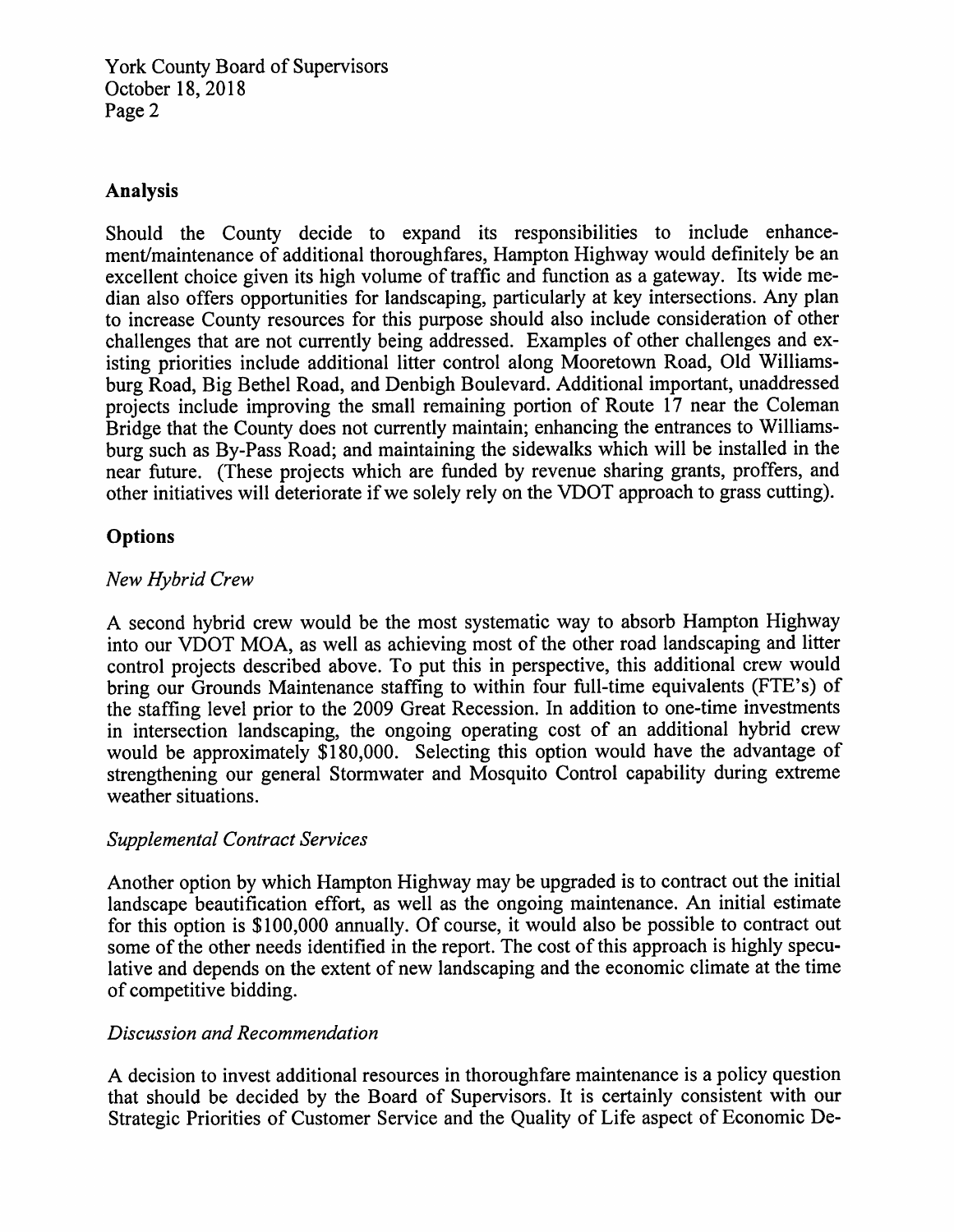**York County Board of Supervisors** October 18, 2018 Page 2

#### **Analysis**

Should the County decide to expand its responsibilities to include enhancement/maintenance of additional thoroughfares, Hampton Highway would definitely be an excellent choice given its high volume of traffic and function as a gateway. Its wide median also offers opportunities for landscaping, particularly at key intersections. Any plan to increase County resources for this purpose should also include consideration of other challenges that are not currently being addressed. Examples of other challenges and existing priorities include additional litter control along Mooretown Road, Old Williamsburg Road, Big Bethel Road, and Denbigh Boulevard, Additional important, unaddressed projects include improving the small remaining portion of Route 17 near the Coleman Bridge that the County does not currently maintain; enhancing the entrances to Williamsburg such as By-Pass Road; and maintaining the sidewalks which will be installed in the near future. (These projects which are funded by revenue sharing grants, proffers, and other initiatives will deteriorate if we solely rely on the VDOT approach to grass cutting).

## **Options**

## New Hybrid Crew

A second hybrid crew would be the most systematic way to absorb Hampton Highway into our VDOT MOA, as well as achieving most of the other road landscaping and litter control projects described above. To put this in perspective, this additional crew would bring our Grounds Maintenance staffing to within four full-time equivalents (FTE's) of the staffing level prior to the 2009 Great Recession. In addition to one-time investments in intersection landscaping, the ongoing operating cost of an additional hybrid crew would be approximately \$180,000. Selecting this option would have the advantage of strengthening our general Stormwater and Mosquito Control capability during extreme weather situations.

#### **Supplemental Contract Services**

Another option by which Hampton Highway may be upgraded is to contract out the initial landscape beautification effort, as well as the ongoing maintenance. An initial estimate for this option is \$100,000 annually. Of course, it would also be possible to contract out some of the other needs identified in the report. The cost of this approach is highly speculative and depends on the extent of new landscaping and the economic climate at the time of competitive bidding.

#### Discussion and Recommendation

A decision to invest additional resources in thoroughfare maintenance is a policy question that should be decided by the Board of Supervisors. It is certainly consistent with our Strategic Priorities of Customer Service and the Quality of Life aspect of Economic De-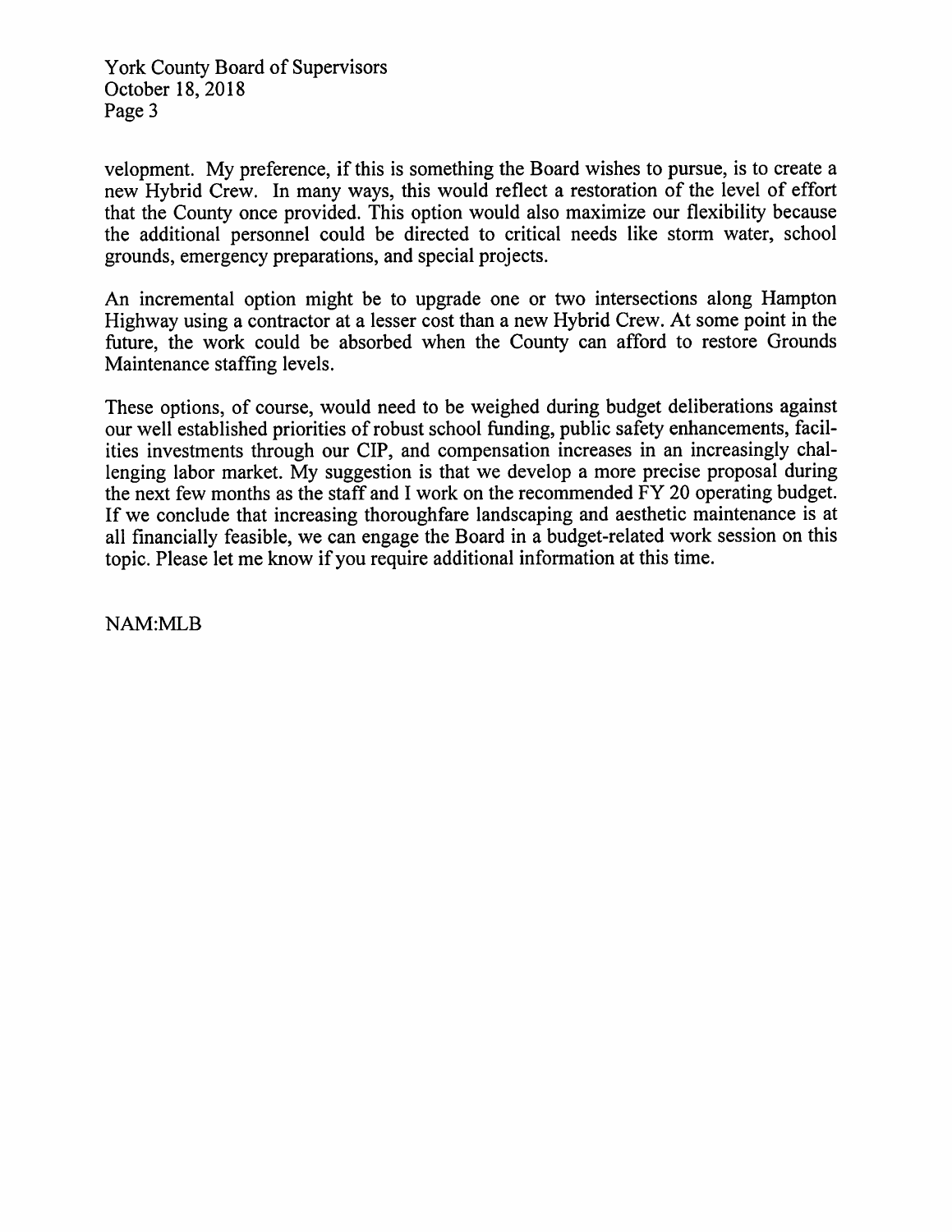York County Board of Supervisors October 18, 2018 Page 3

velopment. My preference, if this is something the Board wishes to pursue, is to create a new Hybrid Crew. In many ways, this would reflect a restoration of the level of effort that the County once provided. This option would also maximize our flexibility because the additional personnel could be directed to critical needs like storm water, school grounds, emergency preparations, and special projects.

An incremental option might be to upgrade one or two intersections along Hampton Highway using a contractor at a lesser cost than a new Hybrid Crew. At some point in the future, the work could be absorbed when the County can afford to restore Grounds Maintenance staffing levels.

These options, of course, would need to be weighed during budget deliberations against our well established priorities of robust school funding, public safety enhancements, facilities investments through our CIP, and compensation increases in an increasingly challenging labor market. My suggestion is that we develop a more precise proposal during the next few months as the staff and I work on the recommended FY 20 operating budget. If we conclude that increasing thoroughfare landscaping and aesthetic maintenance is at all financially feasible, we can engage the Board in a budget-related work session on this topic. Please let me know if you require additional information at this time.

NAM:MLB